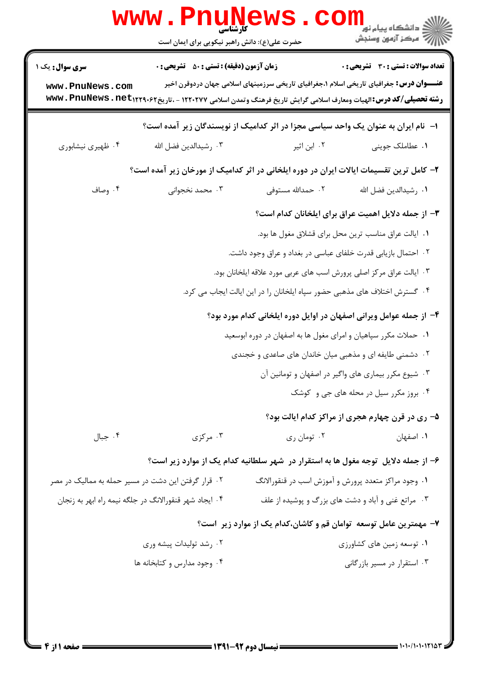|                                                                   | <b>www.Pnunews</b><br>حضرت علی(ع): دانش راهبر نیکویی برای ایمان است                                                                                                                       |                                                                                     | ڪ دانشڪاه پيا <sub>م</sub> نور<br><mark>√</mark> مرڪز آزمون وسنڊش                                                                               |  |  |
|-------------------------------------------------------------------|-------------------------------------------------------------------------------------------------------------------------------------------------------------------------------------------|-------------------------------------------------------------------------------------|-------------------------------------------------------------------------------------------------------------------------------------------------|--|--|
| <b>سری سوال :</b> یک ۱<br>www.PnuNews.com                         | <b>زمان آزمون (دقیقه) : تستی : 50 ٪ تشریحی : 0</b><br><b>رشته تحصیلی/کد درس:</b> الهیات ومعارف اسلامی گرایش تاریخ فرهنگ وتمدن اسلامی ۱۲۲۰۲۷۷ - ،تاریخ۱۲۲۹۰۶۲ ت <b>mww . PnuNews . net</b> |                                                                                     | <b>تعداد سوالات : تستی : 30 ٪ تشریحی : 0</b><br><b>عنـــوان درس:</b> جغرافیای تاریخی اسلام ۱،جغرافیای تاریخی سرزمینهای اسلامی جهان دردوقرن اخیر |  |  |
|                                                                   |                                                                                                                                                                                           | ا– ً نام ایران به عنوان یک واحد سیاسی مجزا در اثر کدامیک از نویسندگان زیر آمده است؟ |                                                                                                                                                 |  |  |
| ۰۴ ظهیری نیشابوری                                                 | ٠٣ رشيدالدين فضل الله                                                                                                                                                                     | ۰۲ ابن اثیر                                                                         | ۰۱ عطاملک جوینی                                                                                                                                 |  |  |
|                                                                   | ۲- کامل ترین تقسیمات ایالات ایران در دوره ایلخانی در اثر کدامیک از مورخان زیر آمده است؟                                                                                                   |                                                                                     |                                                                                                                                                 |  |  |
| ۰۴ وصاف                                                           | ۰۳ محمد نخجوانی                                                                                                                                                                           | ۰۲ حمدالله مستوفى                                                                   | ٠١. رشيدالدين فضل الله                                                                                                                          |  |  |
|                                                                   | ۳- از جمله دلایل اهمیت عراق برای ایلخانان کدام است؟                                                                                                                                       |                                                                                     |                                                                                                                                                 |  |  |
|                                                                   | ٠١. ايالت عراق مناسب ترين محل براي قشلاق مغول ها بود.                                                                                                                                     |                                                                                     |                                                                                                                                                 |  |  |
| ۰۲ احتمال بازیابی قدرت خلفای عباسی در بغداد و عراق وجود داشت.     |                                                                                                                                                                                           |                                                                                     |                                                                                                                                                 |  |  |
|                                                                   |                                                                                                                                                                                           | ۰۳ ایالت عراق مرکز اصلی پرورش اسب های عربی مورد علاقه ایلخانان بود.                 |                                                                                                                                                 |  |  |
|                                                                   |                                                                                                                                                                                           | ۰۴ گسترش اختلاف های مذهبی حضور سپاه ایلخانان را در این ایالت ایجاب می کرد.          |                                                                                                                                                 |  |  |
|                                                                   |                                                                                                                                                                                           | ۴– از جمله عوامل ویرانی اصفهان در اوایل دوره ایلخانی کدام مورد بود؟                 |                                                                                                                                                 |  |  |
| ۰۱ حملات مکرر سپاهیان و امرای مغول ها به اصفهان در دوره ابوسعید   |                                                                                                                                                                                           |                                                                                     |                                                                                                                                                 |  |  |
|                                                                   | ۰۲ دشمنی طایفه ای و مذهبی میان خاندان های صاعدی و خجندی                                                                                                                                   |                                                                                     |                                                                                                                                                 |  |  |
|                                                                   | ۰۳ شیوع مکرر بیماری های واگیر در اصفهان و تومانین آن                                                                                                                                      |                                                                                     |                                                                                                                                                 |  |  |
|                                                                   |                                                                                                                                                                                           |                                                                                     | ۰۴ بروز مکرر سیل در محله های جی و کوشک                                                                                                          |  |  |
|                                                                   |                                                                                                                                                                                           |                                                                                     | ۵– ری در قرن چهارم هجری از مراکز کدام ایالت بود؟                                                                                                |  |  |
| ۰۴ جبال                                                           | ۰۳ مرکزی                                                                                                                                                                                  | ۰۲ تومان ري                                                                         | ۰۱ اصفهان                                                                                                                                       |  |  |
|                                                                   |                                                                                                                                                                                           | ۶- از جمله دلایل توجه مغول ها به استقرار در شهر سلطانیه کدام یک از موارد زیر است؟   |                                                                                                                                                 |  |  |
| ۰۲ قرار گرفتن این دشت در مسیر حمله به ممالیک در مصر               |                                                                                                                                                                                           | ۰۱ وجود مراکز متعدد پرورش و آموزش اسب در قنقورالانگ                                 |                                                                                                                                                 |  |  |
|                                                                   | ۰۴ ایجاد شهر قنقورالانگ در جلگه نیمه راه ابهر به زنجان                                                                                                                                    |                                                                                     | ۰۳ مراتع غنی و آباد و دشت های بزرگ و پوشیده از علف                                                                                              |  |  |
| ۷– مهمترین عامل توسعه توامان قم و کاشان،کدام یک از موارد زیر است؟ |                                                                                                                                                                                           |                                                                                     |                                                                                                                                                 |  |  |
|                                                                   | ۰۲ رشد تولیدات پیشه وری                                                                                                                                                                   |                                                                                     | ۰۱ توسعه زمین های کشاورزی                                                                                                                       |  |  |
|                                                                   | ۰۴ وجود مدارس و کتابخانه ها                                                                                                                                                               |                                                                                     | ۰۳ استقرار در مسیر بازرگانی                                                                                                                     |  |  |
|                                                                   |                                                                                                                                                                                           |                                                                                     |                                                                                                                                                 |  |  |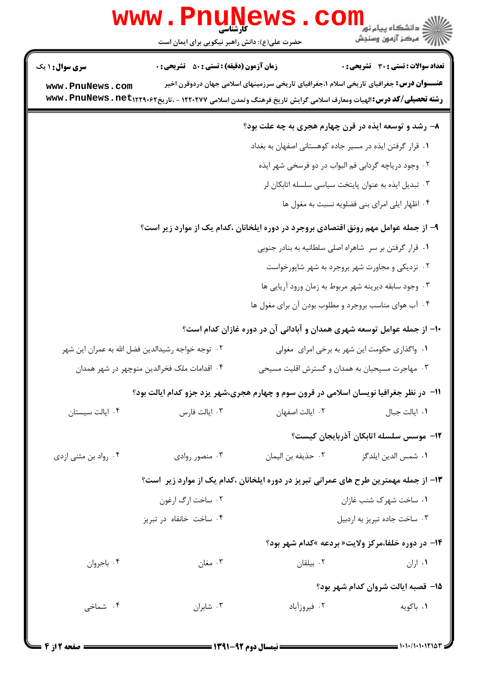|                                                                                               | <b>www.PnuNewS</b><br>کارشناسی<br>حضرت علی(ع): دانش راهبر نیکویی برای ایمان است                                                     |                    |                                                                                                 |  |  |
|-----------------------------------------------------------------------------------------------|-------------------------------------------------------------------------------------------------------------------------------------|--------------------|-------------------------------------------------------------------------------------------------|--|--|
| <b>سری سوال :</b> ۱ یک                                                                        | <b>زمان آزمون (دقیقه) : تستی : 50 ٪ تشریحی : 0</b>                                                                                  |                    | تعداد سوالات : تستى : 30 - تشريحي : 0                                                           |  |  |
| www.PnuNews.com                                                                               | <b>رشته تحصیلی/کد درس:</b> الهیات ومعارف اسلامی گرایش تاریخ فرهنگ وتمدن اسلامی ۱۲۲۰۲۷۷ - ،تاریخ۱۲۲۹۰۶۲ <b>- www . PnuNews . net</b> |                    | <b>عنـــوان درس:</b> جغرافیای تاریخی اسلام ۱،جغرافیای تاریخی سرزمینهای اسلامی جهان دردوقرن اخیر |  |  |
|                                                                                               |                                                                                                                                     |                    | ۸- رشد و توسعه ایذه در قرن چهارم هجری به چه علت بود؟                                            |  |  |
|                                                                                               |                                                                                                                                     |                    | ۰۱ قرار گرفتن ایذه در مسیر جاده کوهستانی اصفهان به بغداد                                        |  |  |
| ۰۲ وجود دریاچه گردابی فم البواب در دو فرسخی شهر ایذه                                          |                                                                                                                                     |                    |                                                                                                 |  |  |
| ۰۳ تبدیل ایذه به عنوان پایتخت سیاسی سلسله اتابکان لر                                          |                                                                                                                                     |                    |                                                                                                 |  |  |
| ۰۴ اظهار ایلی امرای بنی فضلویه نسبت به مغول ها                                                |                                                                                                                                     |                    |                                                                                                 |  |  |
| ۹– از جمله عوامل مهم رونق اقتصادی بروجرد در دوره ایلخانان ،کدام یک از موارد زیر است؟          |                                                                                                                                     |                    |                                                                                                 |  |  |
|                                                                                               |                                                                                                                                     |                    | ٠١ قرار گرفتن بر سر شاهراه اصلى سلطانيه به بنادر جنوبي                                          |  |  |
| ۰۲ نزدیکی و مجاورت شهر بروجرد به شهر شاپورخواست                                               |                                                                                                                                     |                    |                                                                                                 |  |  |
|                                                                                               | ۰۳ وجود سابقه دیرینه شهر مربوط به زمان ورود آریایی ها                                                                               |                    |                                                                                                 |  |  |
|                                                                                               |                                                                                                                                     |                    | ۰۴ آب هوای مناسب بروجرد و مطلوب بودن آن برای مغول ها                                            |  |  |
|                                                                                               |                                                                                                                                     |                    | +۱- از جمله عوامل توسعه شهری همدان و آبادانی آن در دوره غازان کدام است؟                         |  |  |
|                                                                                               | ۰۲ توجه خواجه رشیدالدین فضل الله به عمران این شهر                                                                                   |                    | ۰۱ واگذاری حکومت این شهر به برخی امرای  مغولی                                                   |  |  |
| ۰۳ مهاجرت مسیحیان به همدان و گسترش اقلیت مسیحی<br>۰۴ اقدامات ملک فخرالدین منوچهر در شهر همدان |                                                                                                                                     |                    |                                                                                                 |  |  |
|                                                                                               | 11- در نظر جغرافیا نویسان اسلامی در قرون سوم و چهارم هجری،شهر یزد جزو کدام ایالت بود؟                                               |                    |                                                                                                 |  |  |
| ۰۴ ایالت سیستان                                                                               | ۰۳ ایالت فارس                                                                                                                       | ٠٢ ايالت اصفهان    | ٠١. ايالت جبال                                                                                  |  |  |
|                                                                                               |                                                                                                                                     |                    | ۱۲- موسس سلسله اتابکان آذربایجان کیست؟                                                          |  |  |
| ۰۴ رواد بن مثنی ازدی                                                                          | ۰۳ منصور روادی                                                                                                                      | ٠٢ حذيفه بن اليمان | ۰۱ شمس الدين ايلدگز                                                                             |  |  |
|                                                                                               |                                                                                                                                     |                    | ۱۳– از جمله مهمترین طرح های عمرانی تبریز در دوره ایلخانان ،کدام یک از موارد زیر ِ است؟          |  |  |
|                                                                                               | ۰۲ ساخت ارگ ارغون                                                                                                                   |                    | ٠١. ساخت شهرک شنب غازان                                                                         |  |  |
|                                                                                               | ۰۴ ساخت خانقاه در تبریز                                                                                                             |                    | ۰۳ ساخت جاده تبريز به اردبيل                                                                    |  |  |
|                                                                                               |                                                                                                                                     |                    | <b>۱۴- در دوره خلفا،مرکز ولایت« بردعه »کدام شهر بود؟</b>                                        |  |  |
| ۰۴ باجروان                                                                                    | ۰۳ مغان                                                                                                                             | ۰۲ بیلقان          | ۰۱ اران                                                                                         |  |  |
|                                                                                               | 15- قصبه ايالت شروان كدام شهر بود؟                                                                                                  |                    |                                                                                                 |  |  |
| ۰۴ شماخی                                                                                      | ۰۳ شابران                                                                                                                           | ۰۲ فیروزآباد       | ۰۱ باکویه                                                                                       |  |  |
|                                                                                               |                                                                                                                                     |                    |                                                                                                 |  |  |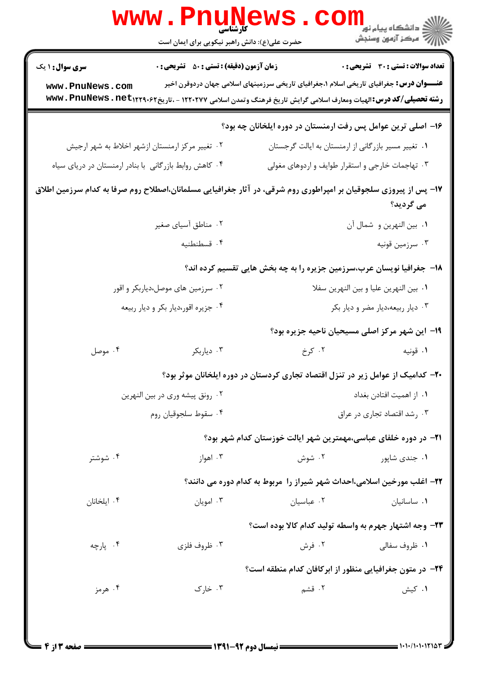|                                                                                                                               | www . Pni<br>حضرت علی(ع): دانش راهبر نیکویی برای ایمان است                                                                          | <b>LIVEWS</b>                                                                                   | <sup>ان</sup> گ دانشگاه پيام نور<br>ا∛ مرکز آزمون وسنجش |  |  |
|-------------------------------------------------------------------------------------------------------------------------------|-------------------------------------------------------------------------------------------------------------------------------------|-------------------------------------------------------------------------------------------------|---------------------------------------------------------|--|--|
| <b>سری سوال : ۱ یک</b>                                                                                                        | <b>زمان آزمون (دقیقه) : تستی : 50 ٪ تشریحی : 0</b>                                                                                  |                                                                                                 | <b>تعداد سوالات : تستی : 30 ٪ تشریحی : 0</b>            |  |  |
| www.PnuNews.com                                                                                                               | <b>رشته تحصیلی/کد درس:</b> الهیات ومعارف اسلامی گرایش تاریخ فرهنگ وتمدن اسلامی ۱۲۲۰۲۷۷ - ،تاریخ۱۲۲۹۰۶۲ <b>- www . PnuNews . net</b> | <b>عنـــوان درس:</b> جغرافیای تاریخی اسلام ۱،جغرافیای تاریخی سرزمینهای اسلامی جهان دردوقرن اخیر |                                                         |  |  |
| ۱۶– اصلی ترین عوامل پس رفت ارمنستان در دوره ایلخانان چه بود؟                                                                  |                                                                                                                                     |                                                                                                 |                                                         |  |  |
|                                                                                                                               | ۰۲ تغییر مرکز ارمنستان ازشهر اخلاط به شهر ارجیش                                                                                     |                                                                                                 | ٠١ تغيير مسير بازرگاني از ارمنستان به ايالت گرجستان     |  |  |
|                                                                                                                               | ۰۴ کاهش روابط بازرگانی با بنادر ارمنستان در دریای سیاه                                                                              |                                                                                                 | ۰۳ تهاجمات خارجی و استقرار طوایف و اردوهای مغولی        |  |  |
| ۱۷– پس از پیروزی سلجوقیان بر امپراطوری روم شرقی، در آثار جغرافیایی مسلمانان،اصطلاح روم صرفا به کدام سرزمین اطلاق<br>می گردید؟ |                                                                                                                                     |                                                                                                 |                                                         |  |  |
|                                                                                                                               | ۰۲ مناطق آسیای صغیر                                                                                                                 |                                                                                                 | ٠١. بين النهرين و شمال آن                               |  |  |
|                                                                                                                               | ۰۴ قسطنطنيه                                                                                                                         |                                                                                                 | ۰۳ سرزمین قونیه                                         |  |  |
|                                                                                                                               |                                                                                                                                     | 18- جغرافیا نویسان عرب،سرزمین جزیره را به چه بخش هایی تقسیم کرده اند؟                           |                                                         |  |  |
|                                                                                                                               | ۰۲ سرزمین های موصل،دیاربکر و اقور                                                                                                   | ٠١. بين النهرين عليا و بين النهرين سفلا                                                         |                                                         |  |  |
|                                                                                                                               | ۰۴ جزیره اقور،دیار بکر و دیار ربیعه                                                                                                 |                                                                                                 | ۰۳ دیار ربیعه،دیار مضر و دیار بکر                       |  |  |
|                                                                                                                               |                                                                                                                                     |                                                                                                 | ۱۹– این شهر مرکز اصلی مسیحیان ناحیه جزیره بود؟          |  |  |
| ۰۴ موصل                                                                                                                       | ۰۳ دیاربکر                                                                                                                          | ۰۲ کرخ                                                                                          | ۰۱ قونیه                                                |  |  |
|                                                                                                                               |                                                                                                                                     | ۲۰– کدامیک از عوامل زیر در تنزل اقتصاد تجاری کردستان در دوره ایلخانان موثر بود؟                 |                                                         |  |  |
|                                                                                                                               | ۰۲ رونق پیشه وری در بین النهرین                                                                                                     | ٠١. از اهميت افتادن بغداد                                                                       |                                                         |  |  |
| ۰۴ سقوط سلجوقيان روم                                                                                                          |                                                                                                                                     | ۰۳ رشد اقتصاد تجاری در عراق                                                                     |                                                         |  |  |
|                                                                                                                               |                                                                                                                                     | <b>۲۱</b> - در دوره خلفای عباسی،مهمترین شهر ایالت خوزستان کدام شهر بود؟                         |                                                         |  |  |
| ۰۴ شوشتر                                                                                                                      | ۰۳ اهواز                                                                                                                            | ۰۲ شوش                                                                                          | ۰۱ جندي شاپور                                           |  |  |
|                                                                                                                               |                                                                                                                                     | ۲۲– اغلب مورخین اسلامی،احداث شهر شیراز را ًمربوط به کدام دوره می دانند؟                         |                                                         |  |  |
| ۰۴ ایلخانان                                                                                                                   | ۰۳ امویان                                                                                                                           | ۰۲ عباسیان                                                                                      | ٠١ ساسانيان                                             |  |  |
|                                                                                                                               |                                                                                                                                     |                                                                                                 | ٢٣- وجه اشتهار جهرم به واسطه توليد كدام كالا بوده است؟  |  |  |
| ۰۴ يارچه                                                                                                                      | ۰۳ ظروف فلزی                                                                                                                        | ۰۲ فرش                                                                                          | ۰۱ ظروف سفالي                                           |  |  |
|                                                                                                                               |                                                                                                                                     | <b>۲۴</b> - در متون جغرافیایی منظور از ابرکافان کدام منطقه است؟                                 |                                                         |  |  |
| ۰۴ هرمز                                                                                                                       | ۰۳ خارک                                                                                                                             | ۰۲ قشم                                                                                          | ۰۱ کیش                                                  |  |  |
|                                                                                                                               |                                                                                                                                     |                                                                                                 |                                                         |  |  |